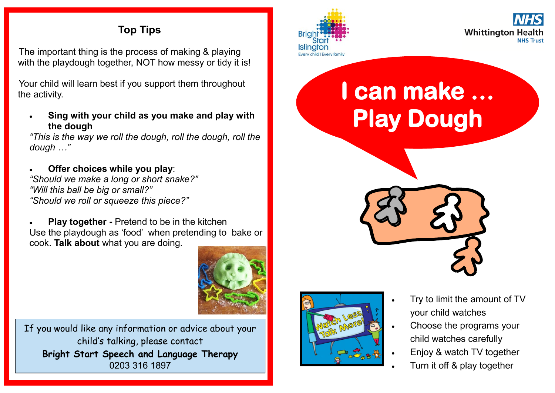#### **Top Tips**

The important thing is the process of making & playing with the playdough together, NOT how messy or tidy it is!

Your child will learn best if you support them throughout the activity.

 **Sing with your child as you make and play with the dough**

*"This is the way we roll the dough, roll the dough, roll the dough …"*

 **Offer choices while you play**: *"Should we make a long or short snake?" "Will this ball be big or small?" "Should we roll or squeeze this piece?"*

 **Play together -** Pretend to be in the kitchen Use the playdough as 'food' when pretending to bake or cook. **Talk about** what you are doing.



If you would like any information or advice about your child's talking, please contact **Bright Start Speech and Language Therapy** 0203 316 1897





# **I can make … Play Dough**





- Try to limit the amount of TV your child watches
- Choose the programs your child watches carefully
- Enjoy & watch TV together
- Turn it off & play together